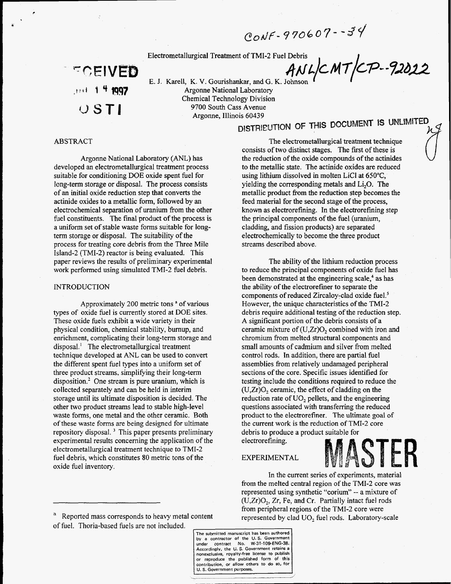$C_{ON}F - 970607 - 34$ 

Electrometallurgical Treatment of TMI-2 Fuel Debris<br>ANLCMT/CP-92022

**ECEIVED** .est 1 <sup>4</sup> 1997  $\cup$  STI

**E.** J. Karell, K. **V.** Gourishankar, andG. K. Johnson Argonne National Laboratory Chemical Technology Division 9700 South Cass Avenue

Argonne, Illinois **60439** 

## ABSTRACT

,

*c* 

Argonne National Laboratory (ANL) has developed an electrometallurgical treatment process suitable for conditioning DOE oxide spent fuel for long-term storage or disposal. The process consists of an initial oxide reduction step that converts the actinide oxides to a metallic form, followed by an electrochemical separation of uranium from the other fuel constituents. The final product of the process is a uniform set of stable waste forms suitable for longterm storage or disposal. The suitability of the process for treating core debris from the Three Mile Island-2 (TMI-2) reactor is being evaluated. This paper reviews the results of preliminary experimental work performed using simulated TMI-2 fuel debris.

## INTRODUCTION

Approximately 200 metric tons **a** of various types of oxide fuel is currently stored at DOE sites. These oxide fuels exhibit a wide variety in their physical condition, chemical stability, bumup, and enrichment, complicating their long-term storage and  $dipsal.<sup>1</sup>$  The electrometallurgical treatment technique developed at ANL can **be** used to convert the different spent fuel types into a uniform set of three product streams, simplifying their long-term disposition.' One stream is pure uranium, which is collected separately and can be held in interim storage until its ultimate disposition is decided. The other two product streams lead to stable high-level waste forms, one metal and the other ceramic. Both of these waste forms are being designed for ultimate repository disposal.<sup>3</sup> This paper presents preliminary experimental results concerning the application of the electrometallurgical treatment technique to TMI-2 fuel debris, which constitutes 80 metric tons of the oxide fuel inventory.

 $\alpha$  Reported mass corresponds to heavy metal content represented by clad UO<sub>2</sub> fuel rods. Laboratory-scale of fuel. Thoria-based fuels are not included.

**The submitted manuscript has been authored by a contractor of the U. S. Government under contract No. W-31-104ENG-38. Accordingly, the U. S. Government retains a nonexclusive. royalty-free license to publish U. S. Government purposes.** 

The electrometallurgical treatment technique consists of two distinct stages. The first of these is the reduction of the oxide compounds of the actinides to the metallic state. The actinide oxides are reduced using lithium dissolved in molten LiCl at  $650^{\circ}$ C. yielding the corresponding metals and Li,O. The metallic product from the reduction step becomes the feed material for the second stage of the process, known as electrorefining. In the electrorefrning step the principal components of the fuel **(uranium,**  cladding, and fission products) are separated electrochemically to become the three product streams described above.

The ability of the lithium reduction process to reduce the principal components of oxide fuel has been demonstrated at the engineering scale,<sup>4</sup> as has the ability of the electrorefrner to separate the components of reduced Zircaloy-clad oxide fuel.<sup>5</sup> However, the unique characteristics of the TMI-2 debris require additional testing of the reduction step. A significant portion of the debris consists of a ceramic mixture of (U,Zr)O, combined with iron and chromium from melted structural components and small amounts of cadmium and silver from melted control rods. In addition, there are partial fuel assemblies from relatively undamaged peripheral sections of the core. Specific issues identified for testing include the conditions required to reduce the  $(U,Zr)O<sub>2</sub>$  ceramic, the effect of cladding on the reduction rate of UO, pellets, and the engineering questions associated with transferring the reduced product to the electrorefiner. The ultimate goal of the current work is the reduction of TMI-2 core debris to produce a product suitable for electrorefining.

## EXPERIMENTAL

In the current series of experiments, material from the melted central region of the TMI-2 core was represented using synthetic "corium" -- **a** mixture of  $(U,Zr)O<sub>2</sub>$ , Zr, Fe, and Cr. Partially intact fuel rods from peripheral regions of the TMI-2 core were Both product to the electrorefiner. The ultimate goal of<br>the current work is the reduction of TMI-2 core<br>minary debris to produce a product suitable for<br>of the electrorefining.<br>LI-2<br>the EXPERIMENTAL In the current series o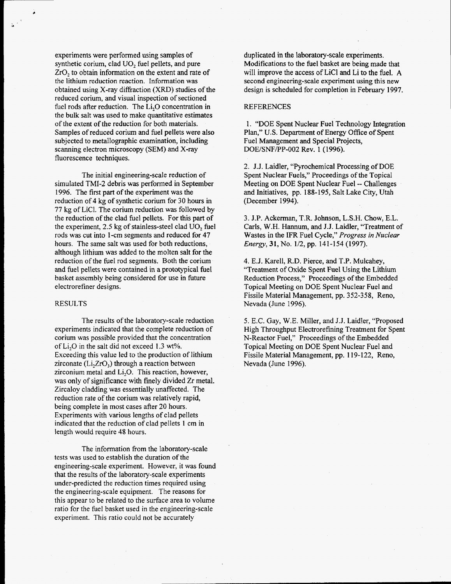experiments were performed using samples of synthetic corium, clad UO, fuel pellets, and pure ZrO, to obtain information on the extent and rate of the lithium reduction reaction. Information was obtained using X-ray diffraction (XRD) studies of the reduced corium, and visual inspection of sectioned fuel rods after reduction. The Li,O concentration in the bulk salt was used to make quantitative estimates of the extent of the reduction for both materials. Samples of reduced corium and fuel pellets were also subjected to metallographic examination, including scanning electron microscopy (SEM) and X-ray fluorescence techniques.

The initial engineering-scale reduction of simulated TMI-2 debris was performed in September 1996. The first part of the experiment was the reduction of 4 kg of synthetic corium for 30 hours in 77 kg of LiCI. The corium reduction was followed by the reduction of the clad fuel pellets. For this part **of**  the experiment, *2.5* kg of stainless-steel clad UO, fuel rods was cut into 1 -cm segments and reduced for 47 hours. The same salt was used for both reductions, although lithium was added to the molten salt for the reduction of the fuel rod segments. Both the corium and fuel pellets were contained in a prototypical fuel basket assembly being considered for use in future electrorefiner designs.

#### RESULTS

The results of the laboratory-scale reduction experiments indicated that the complete reduction of corium was possible provided that the concentration of Li,O in the salt did not exceed 1.3 **wt%.**  Exceeding this value led to the production of lithium zirconate  $(Li,ZrO<sub>3</sub>)$  through a reaction between zirconium metal and Li,O. This reaction, however, was only of significance with finely divided Zr metal. Zircaloy cladding was essentially unaffected. The reduction rate of the corium was relatively rapid, being complete in most cases after 20 hours. Experiments with various lengths of clad pellets indicated that the reduction of clad pellets **1** cm in length would require **48** hours.

The information from the laboratory-scale tests was used to establish the duration of the engineering-scale experiment. However, it was found that the results of the laboratory-scale experiments under-predicted the reduction times required using the engineering-scale equipment. The reasons for this appear to be related to the surface area to volume ratio for the fuel basket used in the engineering-scale experiment. This ratio could not be accurately

duplicated in the laboratory-scale experiments. Modifications to the fuel basket are being made that will improve the access of LiCl and Li to the fuel. **A**  second engineering-scale experiment using this new design is scheduled for completion in February 1997.

## **REFERENCES**

1. "DOE Spent Nuclear Fuel Technology Integration Plan," U.S. Department of Energy Office of Spent Fuel Management and Special Projects, DOE/SNF/PP-002 Rev. 1 (1996).

*2.* J.J. Laidler, "Pyrochemical Processing **of** DOE Spent Nuclear Fuels," Proceedings of the Topical Meeting on DOE Spent Nuclear Fuel -- Challenges and Initiatives, pp. 188-195, Salt Lake City, Utah (December 1994).

3. J.P. Ackerman, T.R. Johnson, L.S.H. Chow, E.L. Carls, W.H. Hannum, and J.J. Laidler, "Treatment of Wastes in the IFR Fuel Cycle," *Progress in Nuclear Energy, 31,* No. 1/2, pp. 141-154 (1997).

4. E.J. Karell, R.D. Pierce, and T.P. Mulcahey, "Treatment of Oxide Spent Fuel Using the Lithium Reduction Process," Proceedings of the Embedded Topical Meeting on DOE Spent Nuclear Fuel and Fissile Material Management, pp. 352-358, Reno, Nevada (June 1996).

*5.* E.C. Gay, W.E. Miller, and J.J. Laidler, "Proposed High Throughput Electrorefining Treatment for Spent N-Reactor Fuel," Proceedings of the Embedded Topical Meeting on DOE Spent Nuclear Fuel and Fissile Material Management, pp. 119-122, Reno, Nevada (June 1996).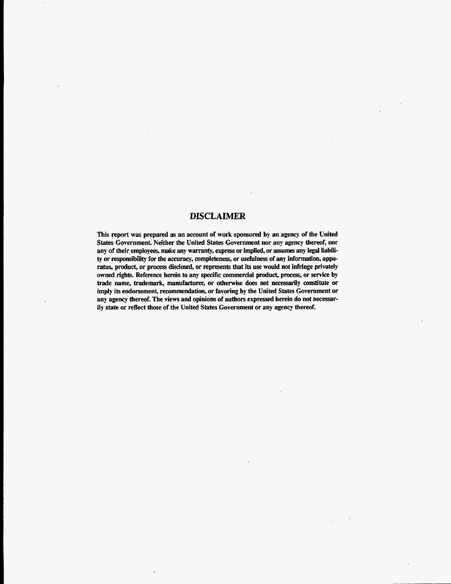## **DISCLAIMER**

This ?port was prepared **as** an account of work sponsored by an agency of the United States Government. Neither the United States Government nor any agency thereof, nor any of their employees, make any **warranty, express** or implied, or assumes any legal liabili**ty** or responsibility for the accuracy, completeness, or usefulness of any information, apparatus, product, or process **disclosed,** or represents that its **use** would not infringe privately **owned rights.** Reference herein *to* any specific commercial product, process, or **service** by trade name, trademark, manufacturer, or otherwise does not necessarily **constitute** or imply its endorsement, recommendation, or favoring by the United States Government or any agency thereof. The views and opinions of authors expressed herein do not necessarily **state** or reflect those of the United States Government or any agency thereof.